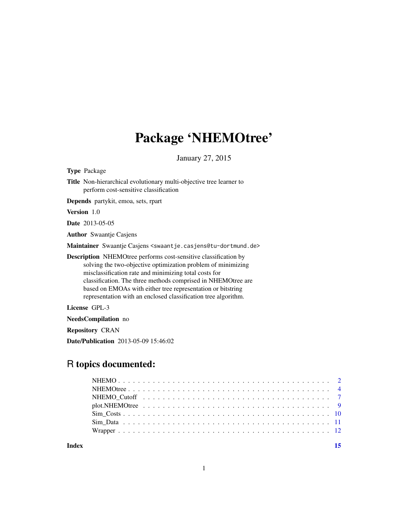# Package 'NHEMOtree'

January 27, 2015

| <b>Type Package</b>                                                                                                                                                                                                                                                                                                                                                                              |
|--------------------------------------------------------------------------------------------------------------------------------------------------------------------------------------------------------------------------------------------------------------------------------------------------------------------------------------------------------------------------------------------------|
| <b>Title</b> Non-hierarchical evolutionary multi-objective tree learner to<br>perform cost-sensitive classification                                                                                                                                                                                                                                                                              |
| <b>Depends</b> partykit, emoa, sets, rpart                                                                                                                                                                                                                                                                                                                                                       |
| <b>Version</b> 1.0                                                                                                                                                                                                                                                                                                                                                                               |
| <b>Date</b> 2013-05-05                                                                                                                                                                                                                                                                                                                                                                           |
| <b>Author</b> Swaantje Casjens                                                                                                                                                                                                                                                                                                                                                                   |
| Maintainer Swaantje Casjens <swaantje.casjens@tu-dortmund.de></swaantje.casjens@tu-dortmund.de>                                                                                                                                                                                                                                                                                                  |
| <b>Description</b> NHEMOtree performs cost-sensitive classification by<br>solving the two-objective optimization problem of minimizing<br>misclassification rate and minimizing total costs for<br>classification. The three methods comprised in NHEMOtree are<br>based on EMOAs with either tree representation or bitstring<br>representation with an enclosed classification tree algorithm. |
| License GPL-3                                                                                                                                                                                                                                                                                                                                                                                    |

NeedsCompilation no

Repository CRAN

Date/Publication 2013-05-09 15:46:02

# R topics documented:

**Index** [15](#page-14-0)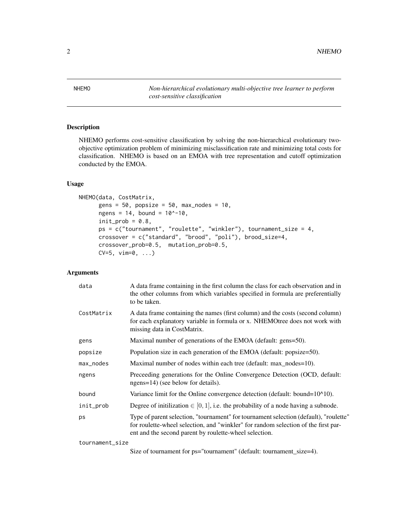<span id="page-1-0"></span> $2 \angle$ 

<span id="page-1-1"></span>NHEMO *Non-hierarchical evolutionary multi-objective tree learner to perform cost-sensitive classification*

# Description

NHEMO performs cost-sensitive classification by solving the non-hierarchical evolutionary twoobjective optimization problem of minimizing misclassification rate and minimizing total costs for classification. NHEMO is based on an EMOA with tree representation and cutoff optimization conducted by the EMOA.

# Usage

```
NHEMO(data, CostMatrix,
      gens = 50, popsize = 50, max_nodes = 10,
      ngens = 14, bound = 10^{\circ} - 10,
      init\_prob = 0.8,
      ps = c("tournament", "roulette", "winkler"), tournament_size = 4,
      crossover = c("standard", "brood", "poli"), brood_size=4,
      crossover_prob=0.5, mutation_prob=0.5,
      CV=5, vim=0, ...)
```
#### Arguments

| data       | A data frame containing in the first column the class for each observation and in<br>the other columns from which variables specified in formula are preferentially<br>to be taken.                                                   |
|------------|---------------------------------------------------------------------------------------------------------------------------------------------------------------------------------------------------------------------------------------|
| CostMatrix | A data frame containing the names (first column) and the costs (second column)<br>for each explanatory variable in formula or x. NHEMOtree does not work with<br>missing data in CostMatrix.                                          |
| gens       | Maximal number of generations of the EMOA (default: gens=50).                                                                                                                                                                         |
| popsize    | Population size in each generation of the EMOA (default: popsize=50).                                                                                                                                                                 |
| max_nodes  | Maximal number of nodes within each tree (default: max_nodes=10).                                                                                                                                                                     |
| ngens      | Preceeding generations for the Online Convergence Detection (OCD, default:<br>ngens=14) (see below for details).                                                                                                                      |
| bound      | Variance limit for the Online convergence detection (default: bound=10^10).                                                                                                                                                           |
| init_prob  | Degree of initilization $\in [0,1]$ , i.e. the probability of a node having a subnode.                                                                                                                                                |
| ps         | Type of parent selection, "tournament" for tournament selection (default), "roulette"<br>for roulette-wheel selection, and "winkler" for random selection of the first par-<br>ent and the second parent by roulette-wheel selection. |
|            |                                                                                                                                                                                                                                       |

tournament\_size

Size of tournament for ps="tournament" (default: tournament\_size=4).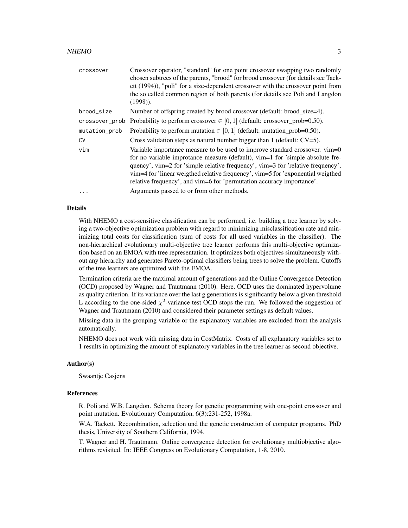#### $NHEMO$  3

| crossover      | Crossover operator, "standard" for one point crossover swapping two randomly<br>chosen subtrees of the parents, "brood" for brood crossover (for details see Tack-<br>ett (1994)), "poli" for a size-dependent crossover with the crossover point from<br>the so called common region of both parents (for details see Poli and Langdon<br>$(1998)$ ).                                                      |
|----------------|-------------------------------------------------------------------------------------------------------------------------------------------------------------------------------------------------------------------------------------------------------------------------------------------------------------------------------------------------------------------------------------------------------------|
| brood_size     | Number of offspring created by brood crossover (default: brood_size=4).                                                                                                                                                                                                                                                                                                                                     |
| crossover_prob | Probability to perform crossover $\in [0, 1]$ (default: crossover_prob=0.50).                                                                                                                                                                                                                                                                                                                               |
| mutation_prob  | Probability to perform mutation $\in [0, 1]$ (default: mutation_prob=0.50).                                                                                                                                                                                                                                                                                                                                 |
| CV             | Cross validation steps as natural number bigger than 1 (default: $CV=5$ ).                                                                                                                                                                                                                                                                                                                                  |
| vin            | Variable importance measure to be used to improve standard crossover. vim=0<br>for no variable improtance measure (default), vim=1 for 'simple absolute fre-<br>quency', vim=2 for 'simple relative frequency', vim=3 for 'relative frequency',<br>vim=4 for 'linear weigthed relative frequency', vim=5 for 'exponential weigthed<br>relative frequency', and vim=6 for 'permutation accuracy importance'. |
| $\ddotsc$      | Arguments passed to or from other methods.                                                                                                                                                                                                                                                                                                                                                                  |

# Details

With NHEMO a cost-sensitive classification can be performed, i.e. building a tree learner by solving a two-objective optimization problem with regard to minimizing misclassification rate and minimizing total costs for classification (sum of costs for all used variables in the classifier). The non-hierarchical evolutionary multi-objective tree learner performs this multi-objective optimization based on an EMOA with tree representation. It optimizes both objectives simultaneously without any hierarchy and generates Pareto-optimal classifiers being trees to solve the problem. Cutoffs of the tree learners are optimized with the EMOA.

Termination criteria are the maximal amount of generations and the Online Convergence Detection (OCD) proposed by Wagner and Trautmann (2010). Here, OCD uses the dominated hypervolume as quality criterion. If its variance over the last g generations is significantly below a given threshold L according to the one-sided  $\chi^2$ -variance test OCD stops the run. We followed the suggestion of Wagner and Trautmann (2010) and considered their parameter settings as default values.

Missing data in the grouping variable or the explanatory variables are excluded from the analysis automatically.

NHEMO does not work with missing data in CostMatrix. Costs of all explanatory variables set to 1 results in optimizing the amount of explanatory variables in the tree learner as second objective.

#### Author(s)

Swaantje Casjens

#### References

R. Poli and W.B. Langdon. Schema theory for genetic programming with one-point crossover and point mutation. Evolutionary Computation, 6(3):231-252, 1998a.

W.A. Tackett. Recombination, selection und the genetic construction of computer programs. PhD thesis, University of Southern California, 1994.

T. Wagner and H. Trautmann. Online convergence detection for evolutionary multiobjective algorithms revisited. In: IEEE Congress on Evolutionary Computation, 1-8, 2010.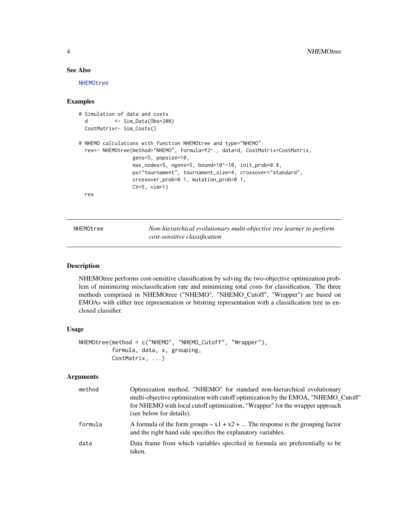# See Also

[NHEMOtree](#page-3-1)

# Examples

```
# Simulation of data and costs
 d <- Sim_Data(Obs=200)
 CostMatrix<- Sim_Costs()
# NHEMO calculations with function NHEMOtree and type="NHEMO"
 res<- NHEMOtree(method="NHEMO", formula=Y2~., data=d, CostMatrix=CostMatrix,
                 gens=5, popsize=10,
                 max_nodes=5, ngens=5, bound=10^-10, init_prob=0.8,
                 ps="tournament", tournament_size=4, crossover="standard",
                 crossover_prob=0.1, mutation_prob=0.1,
                 CV=5, vim=1)
 res
```
NHEMOtree *Non-hierarchical evolutionary multi-objective tree learner to perform cost-sensitive classification*

#### Description

NHEMOtree performs cost-sensitive classification by solving the two-objective optimization problem of minimizing misclassification rate and minimizing total costs for classification. The three methods comprised in NHEMOtree ("NHEMO", "NHEMO\_Cutoff", "Wrapper") are based on EMOAs with either tree representation or bitstring representation with a classification tree as enclosed classifier.

# Usage

```
NHEMOtree(method = c("NHEMO", "NHEMO_Cutoff", "Wrapper"),
          formula, data, x, grouping,
          CostMatrix, ...)
```
#### Arguments

| method  | Optimization method, "NHEMO" for standard non-hierarchical evolutionary<br>multi-objective optimization with cutoff optimization by the EMOA, "NHEMO Cutoff"<br>for NHEMO with local cutoff optimization, "Wrapper" for the wrapper approach<br>(see below for details). |
|---------|--------------------------------------------------------------------------------------------------------------------------------------------------------------------------------------------------------------------------------------------------------------------------|
| formula | A formula of the form groups $\sim x1 + x2 + $ The response is the grouping factor<br>and the right hand side specifies the explanatory variables.                                                                                                                       |
| data    | Data frame from which variables specified in formula are preferentially to be<br>taken.                                                                                                                                                                                  |

<span id="page-3-0"></span>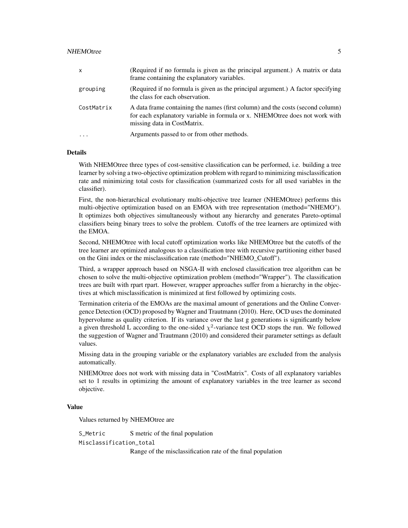#### NHEMOtree 55

| $\mathsf{x}$            | (Required if no formula is given as the principal argument.) A matrix or data<br>frame containing the explanatory variables.                                                                 |
|-------------------------|----------------------------------------------------------------------------------------------------------------------------------------------------------------------------------------------|
| grouping                | (Required if no formula is given as the principal argument.) A factor specifying<br>the class for each observation.                                                                          |
| CostMatrix              | A data frame containing the names (first column) and the costs (second column)<br>for each explanatory variable in formula or x. NHEMOtree does not work with<br>missing data in CostMatrix. |
| $\cdot$ $\cdot$ $\cdot$ | Arguments passed to or from other methods.                                                                                                                                                   |

# Details

With NHEMOtree three types of cost-sensitive classification can be performed, i.e. building a tree learner by solving a two-objective optimization problem with regard to minimizing misclassification rate and minimizing total costs for classification (summarized costs for all used variables in the classifier).

First, the non-hierarchical evolutionary multi-objective tree learner (NHEMOtree) performs this multi-objective optimization based on an EMOA with tree representation (method="NHEMO"). It optimizes both objectives simultaneously without any hierarchy and generates Pareto-optimal classifiers being binary trees to solve the problem. Cutoffs of the tree learners are optimized with the EMOA.

Second, NHEMOtree with local cutoff optimization works like NHEMOtree but the cutoffs of the tree learner are optimized analogous to a classification tree with recursive partitioning either based on the Gini index or the misclassification rate (method="NHEMO\_Cutoff").

Third, a wrapper approach based on NSGA-II with enclosed classification tree algorithm can be chosen to solve the multi-objective optimization problem (method="Wrapper"). The classification trees are built with rpart rpart. However, wrapper approaches suffer from a hierarchy in the objectives at which misclassification is minimized at first followed by optimizing costs.

Termination criteria of the EMOAs are the maximal amount of generations and the Online Convergence Detection (OCD) proposed by Wagner and Trautmann (2010). Here, OCD uses the dominated hypervolume as quality criterion. If its variance over the last g generations is significantly below a given threshold L according to the one-sided  $\chi^2$ -variance test OCD stops the run. We followed the suggestion of Wagner and Trautmann (2010) and considered their parameter settings as default values.

Missing data in the grouping variable or the explanatory variables are excluded from the analysis automatically.

NHEMOtree does not work with missing data in "CostMatrix". Costs of all explanatory variables set to 1 results in optimizing the amount of explanatory variables in the tree learner as second objective.

# Value

Values returned by NHEMOtree are

S\_Metric S metric of the final population

Misclassification\_total

Range of the misclassification rate of the final population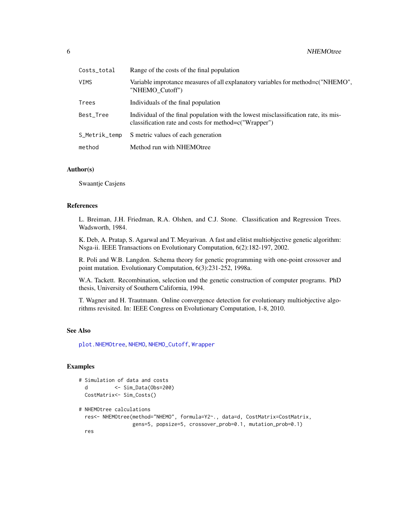<span id="page-5-0"></span>

| Costs_total   | Range of the costs of the final population                                                                                                      |
|---------------|-------------------------------------------------------------------------------------------------------------------------------------------------|
| VIMS          | Variable improtance measures of all explanatory variables for method=c("NHEMO",<br>"NHEMO Cutoff")                                              |
| Trees         | Individuals of the final population                                                                                                             |
| Best_Tree     | Individual of the final population with the lowest misclassification rate, its mis-<br>classification rate and costs for method= $c("Wrapper")$ |
| S_Metrik_temp | S metric values of each generation                                                                                                              |
| method        | Method run with NHEMOtree                                                                                                                       |

# Author(s)

Swaantje Casjens

# References

L. Breiman, J.H. Friedman, R.A. Olshen, and C.J. Stone. Classification and Regression Trees. Wadsworth, 1984.

K. Deb, A. Pratap, S. Agarwal and T. Meyarivan. A fast and elitist multiobjective genetic algorithm: Nsga-ii. IEEE Transactions on Evolutionary Computation, 6(2):182-197, 2002.

R. Poli and W.B. Langdon. Schema theory for genetic programming with one-point crossover and point mutation. Evolutionary Computation, 6(3):231-252, 1998a.

W.A. Tackett. Recombination, selection und the genetic construction of computer programs. PhD thesis, University of Southern California, 1994.

T. Wagner and H. Trautmann. Online convergence detection for evolutionary multiobjective algorithms revisited. In: IEEE Congress on Evolutionary Computation, 1-8, 2010.

#### See Also

[plot.NHEMOtree](#page-8-1), [NHEMO](#page-1-1), [NHEMO\\_Cutoff](#page-6-1), [Wrapper](#page-11-1)

# Examples

# Simulation of data and costs d <- Sim\_Data(Obs=200) CostMatrix<- Sim\_Costs()

```
# NHEMOtree calculations
 res<- NHEMOtree(method="NHEMO", formula=Y2~., data=d, CostMatrix=CostMatrix,
                 gens=5, popsize=5, crossover_prob=0.1, mutation_prob=0.1)
```
res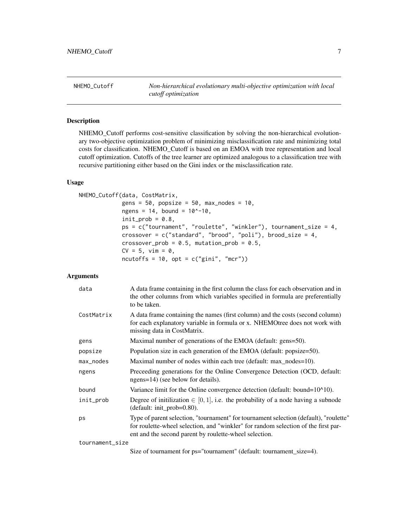<span id="page-6-1"></span><span id="page-6-0"></span>NHEMO\_Cutoff *Non-hierarchical evolutionary multi-objective optimization with local cutoff optimization*

# Description

NHEMO\_Cutoff performs cost-sensitive classification by solving the non-hierarchical evolutionary two-objective optimization problem of minimizing misclassification rate and minimizing total costs for classification. NHEMO\_Cutoff is based on an EMOA with tree representation and local cutoff optimization. Cutoffs of the tree learner are optimized analogous to a classification tree with recursive partitioning either based on the Gini index or the misclassification rate.

#### Usage

```
NHEMO_Cutoff(data, CostMatrix,
             gens = 50, popsize = 50, max_nodes = 10,
             ngens = 14, bound = 10^{\circ}-10,
             init\_prob = 0.8,
             ps = c("tournament", "roulette", "winkler"), tournament_size = 4,crossover = c("standard", "broad", "poli"), brood_size = 4,crossover_prob = 0.5, mutation_prob = 0.5,
             CV = 5, vim = 0,
             ncutoffs = 10, opt = c("gini", "mcr")
```
#### Arguments

| data            | A data frame containing in the first column the class for each observation and in<br>the other columns from which variables specified in formula are preferentially<br>to be taken.                                                   |
|-----------------|---------------------------------------------------------------------------------------------------------------------------------------------------------------------------------------------------------------------------------------|
| CostMatrix      | A data frame containing the names (first column) and the costs (second column)<br>for each explanatory variable in formula or x. NHEMOtree does not work with<br>missing data in CostMatrix.                                          |
| gens            | Maximal number of generations of the EMOA (default: gens=50).                                                                                                                                                                         |
| popsize         | Population size in each generation of the EMOA (default: popsize=50).                                                                                                                                                                 |
| max_nodes       | Maximal number of nodes within each tree (default: max_nodes=10).                                                                                                                                                                     |
| ngens           | Preceeding generations for the Online Convergence Detection (OCD, default:<br>ngens=14) (see below for details).                                                                                                                      |
| bound           | Variance limit for the Online convergence detection (default: bound=10^10).                                                                                                                                                           |
| init_prob       | Degree of initilization $\in [0,1]$ , i.e. the probability of a node having a subnode<br>(default: init_prob=0.80).                                                                                                                   |
| ps              | Type of parent selection, "tournament" for tournament selection (default), "roulette"<br>for roulette-wheel selection, and "winkler" for random selection of the first par-<br>ent and the second parent by roulette-wheel selection. |
| tournament_size |                                                                                                                                                                                                                                       |

Size of tournament for ps="tournament" (default: tournament\_size=4).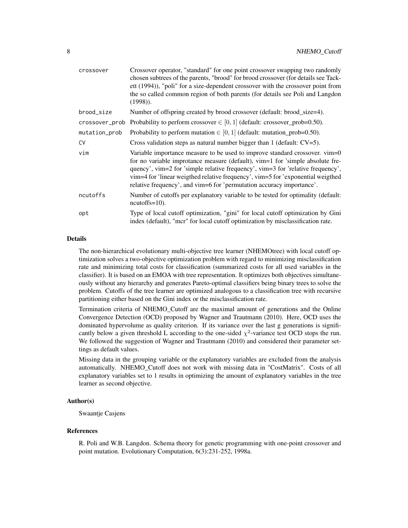| crossover      | Crossover operator, "standard" for one point crossover swapping two randomly<br>chosen subtrees of the parents, "brood" for brood crossover (for details see Tack-<br>ett (1994)), "poli" for a size-dependent crossover with the crossover point from<br>the so called common region of both parents (for details see Poli and Langdon<br>$(1998)$ ).                                                      |
|----------------|-------------------------------------------------------------------------------------------------------------------------------------------------------------------------------------------------------------------------------------------------------------------------------------------------------------------------------------------------------------------------------------------------------------|
| brood_size     | Number of offspring created by brood crossover (default: brood_size=4).                                                                                                                                                                                                                                                                                                                                     |
| crossover_prob | Probability to perform crossover $\in [0, 1]$ (default: crossover_prob=0.50).                                                                                                                                                                                                                                                                                                                               |
| mutation_prob  | Probability to perform mutation $\in [0, 1]$ (default: mutation_prob=0.50).                                                                                                                                                                                                                                                                                                                                 |
| <b>CV</b>      | Cross validation steps as natural number bigger than 1 (default: $CV=5$ ).                                                                                                                                                                                                                                                                                                                                  |
| vin            | Variable importance measure to be used to improve standard crossover. vim=0<br>for no variable improtance measure (default), vim=1 for 'simple absolute fre-<br>quency', vim=2 for 'simple relative frequency', vim=3 for 'relative frequency',<br>vim=4 for 'linear weigthed relative frequency', vim=5 for 'exponential weigthed<br>relative frequency', and vim=6 for 'permutation accuracy importance'. |
| ncutoffs       | Number of cutoffs per explanatory variable to be tested for optimality (default:<br>$ncutoffs=10$ ).                                                                                                                                                                                                                                                                                                        |
| opt            | Type of local cutoff optimization, "gini" for local cutoff optimization by Gini<br>index (default), "mcr" for local cutoff optimization by misclassification rate.                                                                                                                                                                                                                                          |

# Details

The non-hierarchical evolutionary multi-objective tree learner (NHEMOtree) with local cutoff optimization solves a two-objective optimization problem with regard to minimizing misclassification rate and minimizing total costs for classification (summarized costs for all used variables in the classifier). It is based on an EMOA with tree representation. It optimizes both objectives simultaneously without any hierarchy and generates Pareto-optimal classifiers being binary trees to solve the problem. Cutoffs of the tree learner are optimized analogous to a classification tree with recursive partitioning either based on the Gini index or the misclassification rate.

Termination criteria of NHEMO\_Cutoff are the maximal amount of generations and the Online Convergence Detection (OCD) proposed by Wagner and Trautmann (2010). Here, OCD uses the dominated hypervolume as quality criterion. If its variance over the last g generations is significantly below a given threshold L according to the one-sided  $\chi^2$ -variance test OCD stops the run. We followed the suggestion of Wagner and Trautmann (2010) and considered their parameter settings as default values.

Missing data in the grouping variable or the explanatory variables are excluded from the analysis automatically. NHEMO\_Cutoff does not work with missing data in "CostMatrix". Costs of all explanatory variables set to 1 results in optimizing the amount of explanatory variables in the tree learner as second objective.

#### Author(s)

Swaantje Casjens

#### References

R. Poli and W.B. Langdon. Schema theory for genetic programming with one-point crossover and point mutation. Evolutionary Computation, 6(3):231-252, 1998a.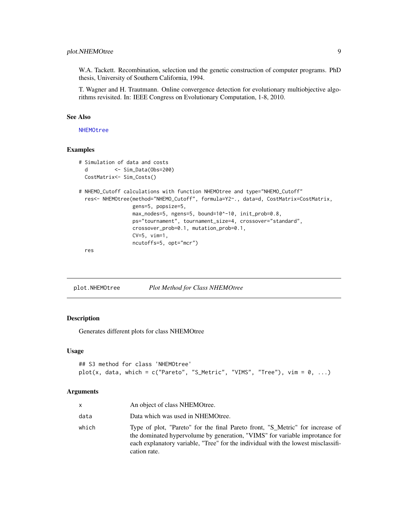# <span id="page-8-0"></span>plot.NHEMOtree 9

W.A. Tackett. Recombination, selection und the genetic construction of computer programs. PhD thesis, University of Southern California, 1994.

T. Wagner and H. Trautmann. Online convergence detection for evolutionary multiobjective algorithms revisited. In: IEEE Congress on Evolutionary Computation, 1-8, 2010.

# See Also

[NHEMOtree](#page-3-1)

# Examples

```
# Simulation of data and costs
 d <- Sim_Data(Obs=200)
 CostMatrix<- Sim_Costs()
# NHEMO_Cutoff calculations with function NHEMOtree and type="NHEMO_Cutoff"
 res<- NHEMOtree(method="NHEMO_Cutoff", formula=Y2~., data=d, CostMatrix=CostMatrix,
                 gens=5, popsize=5,
                 max_nodes=5, ngens=5, bound=10^-10, init_prob=0.8,
                 ps="tournament", tournament_size=4, crossover="standard",
                 crossover_prob=0.1, mutation_prob=0.1,
                 CV=5, vim=1,
                 ncutoffs=5, opt="mcr")
```
res

<span id="page-8-1"></span>plot.NHEMOtree *Plot Method for Class NHEMOtree*

# Description

Generates different plots for class NHEMOtree

#### Usage

```
## S3 method for class 'NHEMOtree'
plot(x, data, which = c("Pareto", "S_Metric", "VIMS", "Tree"), vim = 0, ...)
```
# Arguments

| x     | An object of class NHEMOtree.                                                                                                                                                                                                                                     |
|-------|-------------------------------------------------------------------------------------------------------------------------------------------------------------------------------------------------------------------------------------------------------------------|
| data  | Data which was used in NHEMOtree.                                                                                                                                                                                                                                 |
| which | Type of plot, "Pareto" for the final Pareto front, "S_Metric" for increase of<br>the dominated hypervolume by generation, "VIMS" for variable improtance for<br>each explanatory variable, "Tree" for the individual with the lowest misclassifi-<br>cation rate. |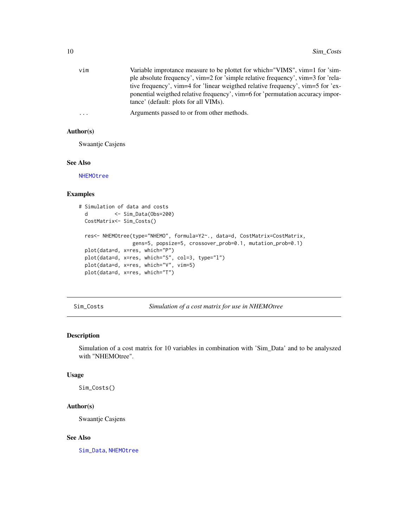<span id="page-9-0"></span>

| vim | Variable improtance measure to be plottet for which="VIMS", vim=1 for 'sim-      |
|-----|----------------------------------------------------------------------------------|
|     | ple absolute frequency', vim=2 for 'simple relative frequency', vim=3 for 'rela- |
|     | tive frequency', vim=4 for 'linear weigthed relative frequency', vim=5 for 'ex-  |
|     | ponential weigthed relative frequency', vim=6 for 'permutation accuracy impor-   |
|     | tance' (default: plots for all VIMs).                                            |
|     |                                                                                  |

```
... Arguments passed to or from other methods.
```
# Author(s)

Swaantje Casjens

## See Also

[NHEMOtree](#page-3-1)

# Examples

```
# Simulation of data and costs
 d <- Sim_Data(Obs=200)
 CostMatrix<- Sim_Costs()
 res<- NHEMOtree(type="NHEMO", formula=Y2~., data=d, CostMatrix=CostMatrix,
                 gens=5, popsize=5, crossover_prob=0.1, mutation_prob=0.1)
 plot(data=d, x=res, which="P")
 plot(data=d, x=res, which="S", col=3, type="l")
 plot(data=d, x=res, which="V", vim=5)
 plot(data=d, x=res, which="T")
```
<span id="page-9-1"></span>Sim\_Costs *Simulation of a cost matrix for use in NHEMOtree*

# Description

Simulation of a cost matrix for 10 variables in combination with 'Sim\_Data' and to be analyszed with "NHEMOtree".

#### Usage

Sim\_Costs()

# Author(s)

Swaantje Casjens

#### See Also

[Sim\\_Data](#page-10-1), [NHEMOtree](#page-3-1)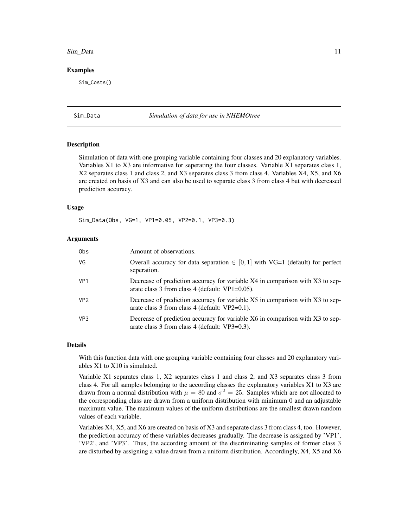#### <span id="page-10-0"></span>Sim\_Data 11

#### Examples

Sim\_Costs()

<span id="page-10-1"></span>

#### Sim\_Data *Simulation of data for use in NHEMOtree*

#### Description

Simulation of data with one grouping variable containing four classes and 20 explanatory variables. Variables X1 to X3 are informative for seperating the four classes. Variable X1 separates class 1, X2 separates class 1 and class 2, and X3 separates class 3 from class 4. Variables X4, X5, and X6 are created on basis of X3 and can also be used to separate class 3 from class 4 but with decreased prediction accuracy.

#### Usage

Sim\_Data(Obs, VG=1, VP1=0.05, VP2=0.1, VP3=0.3)

#### Arguments

| 0 <sub>bs</sub> | Amount of observations.                                                                                                             |
|-----------------|-------------------------------------------------------------------------------------------------------------------------------------|
| VG              | Overall accuracy for data separation $\in [0, 1]$ with VG=1 (default) for perfect<br>seperation.                                    |
| VP <sub>1</sub> | Decrease of prediction accuracy for variable X4 in comparison with X3 to sep-<br>arate class 3 from class 4 (default: $VP1=0.05$ ). |
| VP <sub>2</sub> | Decrease of prediction accuracy for variable X5 in comparison with X3 to sep-<br>arate class 3 from class 4 (default: VP2=0.1).     |
| VP3             | Decrease of prediction accuracy for variable X6 in comparison with X3 to sep-<br>arate class 3 from class 4 (default: VP3=0.3).     |

#### Details

With this function data with one grouping variable containing four classes and 20 explanatory variables X1 to X10 is simulated.

Variable X1 separates class 1, X2 separates class 1 and class 2, and X3 separates class 3 from class 4. For all samples belonging to the according classes the explanatory variables X1 to X3 are drawn from a normal distribution with  $\mu = 80$  and  $\sigma^2 = 25$ . Samples which are not allocated to the corresponding class are drawn from a uniform distribution with minimum 0 and an adjustable maximum value. The maximum values of the uniform distributions are the smallest drawn random values of each variable.

Variables X4, X5, and X6 are created on basis of X3 and separate class 3 from class 4, too. However, the prediction accuracy of these variables decreases gradually. The decrease is assigned by 'VP1', 'VP2', and 'VP3'. Thus, the according amount of the discriminating samples of former class 3 are disturbed by assigning a value drawn from a uniform distribution. Accordingly, X4, X5 and X6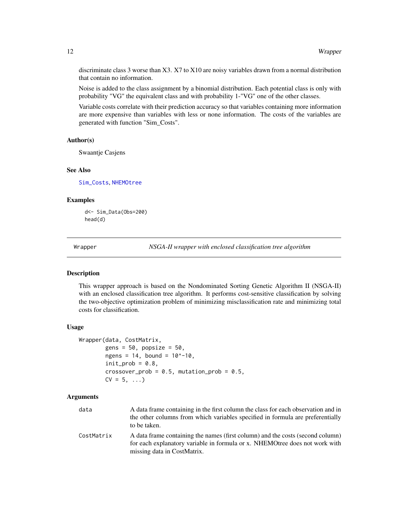discriminate class 3 worse than X3. X7 to X10 are noisy variables drawn from a normal distribution that contain no information.

Noise is added to the class assignment by a binomial distribution. Each potential class is only with probability "VG" the equivalent class and with probability 1-"VG" one of the other classes.

Variable costs correlate with their prediction accuracy so that variables containing more information are more expensive than variables with less or none information. The costs of the variables are generated with function "Sim\_Costs".

#### Author(s)

Swaantje Casjens

#### See Also

[Sim\\_Costs](#page-9-1), [NHEMOtree](#page-3-1)

#### Examples

d<- Sim\_Data(Obs=200) head(d)

<span id="page-11-1"></span>Wrapper *NSGA-II wrapper with enclosed classification tree algorithm*

#### Description

This wrapper approach is based on the Nondominated Sorting Genetic Algorithm II (NSGA-II) with an enclosed classification tree algorithm. It performs cost-sensitive classification by solving the two-objective optimization problem of minimizing misclassification rate and minimizing total costs for classification.

#### Usage

```
Wrapper(data, CostMatrix,
        gens = 50, popsize = 50,
        ngens = 14, bound = 10^{\circ} - 10,
        init\_prob = 0.8,
        crossover_prob = 0.5, mutation_prob = 0.5,
        CV = 5, ...
```
#### Arguments

| data       | A data frame containing in the first column the class for each observation and in                                                                             |
|------------|---------------------------------------------------------------------------------------------------------------------------------------------------------------|
|            | the other columns from which variables specified in formula are preferentially                                                                                |
|            | to be taken.                                                                                                                                                  |
| CostMatrix | A data frame containing the names (first column) and the costs (second column)<br>for each explanatory variable in formula or x. NHEMOtree does not work with |
|            | missing data in CostMatrix.                                                                                                                                   |

<span id="page-11-0"></span>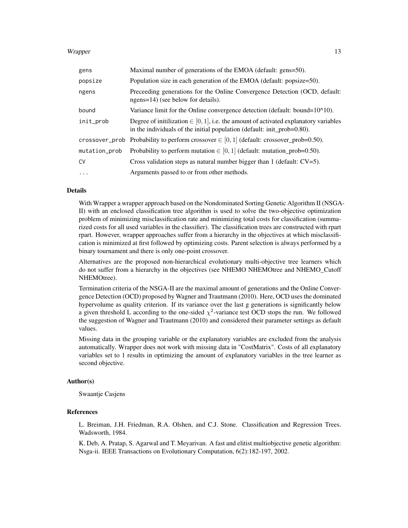#### Wrapper 23

| gens          | Maximal number of generations of the EMOA (default: gens=50).                                                                                                        |
|---------------|----------------------------------------------------------------------------------------------------------------------------------------------------------------------|
| popsize       | Population size in each generation of the EMOA (default: popsize=50).                                                                                                |
| ngens         | Preceeding generations for the Online Convergence Detection (OCD, default:<br>ngens=14) (see below for details).                                                     |
| bound         | Variance limit for the Online convergence detection (default: bound= $10^{4}10$ ).                                                                                   |
| init_prob     | Degree of initilization $\in [0, 1]$ , i.e. the amount of activated explanatory variables<br>in the individuals of the initial population (default: init_prob=0.80). |
|               | crossover_prob Probability to perform crossover $\in [0,1]$ (default: crossover_prob=0.50).                                                                          |
| mutation_prob | Probability to perform mutation $\in [0, 1]$ (default: mutation_prob=0.50).                                                                                          |
| <b>CV</b>     | Cross validation steps as natural number bigger than 1 (default: $CV=5$ ).                                                                                           |
| $\cdots$      | Arguments passed to or from other methods.                                                                                                                           |

# Details

With Wrapper a wrapper approach based on the Nondominated Sorting Genetic Algorithm II (NSGA-II) with an enclosed classification tree algorithm is used to solve the two-objective optimization problem of minimizing misclassification rate and minimizing total costs for classification (summarized costs for all used variables in the classifier). The classification trees are constructed with rpart rpart. However, wrapper approaches suffer from a hierarchy in the objectives at which misclassification is minimized at first followed by optimizing costs. Parent selection is always performed by a binary tournament and there is only one-point crossover.

Alternatives are the proposed non-hierarchical evolutionary multi-objective tree learners which do not suffer from a hierarchy in the objectives (see NHEMO NHEMOtree and NHEMO\_Cutoff NHEMOtree).

Termination criteria of the NSGA-II are the maximal amount of generations and the Online Convergence Detection (OCD) proposed by Wagner and Trautmann (2010). Here, OCD uses the dominated hypervolume as quality criterion. If its variance over the last g generations is significantly below a given threshold L according to the one-sided  $\chi^2$ -variance test OCD stops the run. We followed the suggestion of Wagner and Trautmann (2010) and considered their parameter settings as default values.

Missing data in the grouping variable or the explanatory variables are excluded from the analysis automatically. Wrapper does not work with missing data in "CostMatrix". Costs of all explanatory variables set to 1 results in optimizing the amount of explanatory variables in the tree learner as second objective.

#### Author(s)

Swaantje Casjens

# References

L. Breiman, J.H. Friedman, R.A. Olshen, and C.J. Stone. Classification and Regression Trees. Wadsworth, 1984.

K. Deb, A. Pratap, S. Agarwal and T. Meyarivan. A fast and elitist multiobjective genetic algorithm: Nsga-ii. IEEE Transactions on Evolutionary Computation, 6(2):182-197, 2002.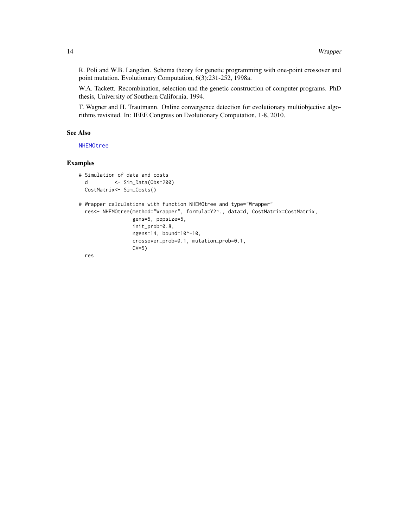R. Poli and W.B. Langdon. Schema theory for genetic programming with one-point crossover and point mutation. Evolutionary Computation, 6(3):231-252, 1998a.

W.A. Tackett. Recombination, selection und the genetic construction of computer programs. PhD thesis, University of Southern California, 1994.

T. Wagner and H. Trautmann. Online convergence detection for evolutionary multiobjective algorithms revisited. In: IEEE Congress on Evolutionary Computation, 1-8, 2010.

# See Also

[NHEMOtree](#page-3-1)

# Examples

```
# Simulation of data and costs
 d <- Sim_Data(Obs=200)
 CostMatrix<- Sim_Costs()
# Wrapper calculations with function NHEMOtree and type="Wrapper"
 res<- NHEMOtree(method="Wrapper", formula=Y2~., data=d, CostMatrix=CostMatrix,
                 gens=5, popsize=5,
                 init_prob=0.8,
                 ngens=14, bound=10^-10,
                 crossover_prob=0.1, mutation_prob=0.1,
                 CV=5)
 res
```
<span id="page-13-0"></span>